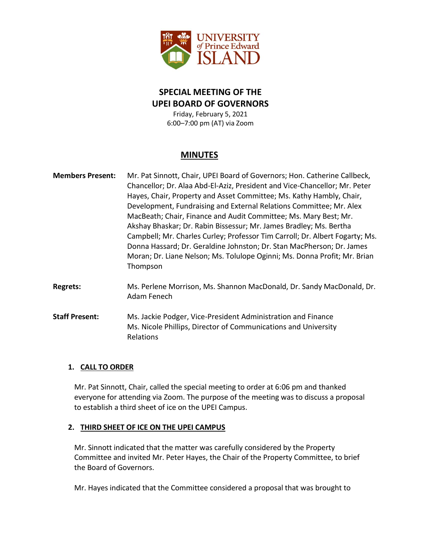

# **SPECIAL MEETING OF THE UPEI BOARD OF GOVERNORS**

Friday, February 5, 2021 6:00–7:00 pm (AT) via Zoom

## **MINUTES**

| <b>Members Present:</b> | Mr. Pat Sinnott, Chair, UPEI Board of Governors; Hon. Catherine Callbeck,<br>Chancellor; Dr. Alaa Abd-El-Aziz, President and Vice-Chancellor; Mr. Peter<br>Hayes, Chair, Property and Asset Committee; Ms. Kathy Hambly, Chair,<br>Development, Fundraising and External Relations Committee; Mr. Alex<br>MacBeath; Chair, Finance and Audit Committee; Ms. Mary Best; Mr.<br>Akshay Bhaskar; Dr. Rabin Bissessur; Mr. James Bradley; Ms. Bertha<br>Campbell; Mr. Charles Curley; Professor Tim Carroll; Dr. Albert Fogarty; Ms.<br>Donna Hassard; Dr. Geraldine Johnston; Dr. Stan MacPherson; Dr. James<br>Moran; Dr. Liane Nelson; Ms. Tolulope Oginni; Ms. Donna Profit; Mr. Brian<br>Thompson |
|-------------------------|----------------------------------------------------------------------------------------------------------------------------------------------------------------------------------------------------------------------------------------------------------------------------------------------------------------------------------------------------------------------------------------------------------------------------------------------------------------------------------------------------------------------------------------------------------------------------------------------------------------------------------------------------------------------------------------------------|
| <b>Regrets:</b>         | Ms. Perlene Morrison, Ms. Shannon MacDonald, Dr. Sandy MacDonald, Dr.<br>Adam Fenech                                                                                                                                                                                                                                                                                                                                                                                                                                                                                                                                                                                                               |
| <b>Staff Present:</b>   | Ms. Jackie Podger, Vice-President Administration and Finance<br>Ms. Nicole Phillips, Director of Communications and University                                                                                                                                                                                                                                                                                                                                                                                                                                                                                                                                                                     |

#### **1. CALL TO ORDER**

Mr. Pat Sinnott, Chair, called the special meeting to order at 6:06 pm and thanked everyone for attending via Zoom. The purpose of the meeting was to discuss a proposal to establish a third sheet of ice on the UPEI Campus.

#### **2. THIRD SHEET OF ICE ON THE UPEI CAMPUS**

Relations

Mr. Sinnott indicated that the matter was carefully considered by the Property Committee and invited Mr. Peter Hayes, the Chair of the Property Committee, to brief the Board of Governors.

Mr. Hayes indicated that the Committee considered a proposal that was brought to